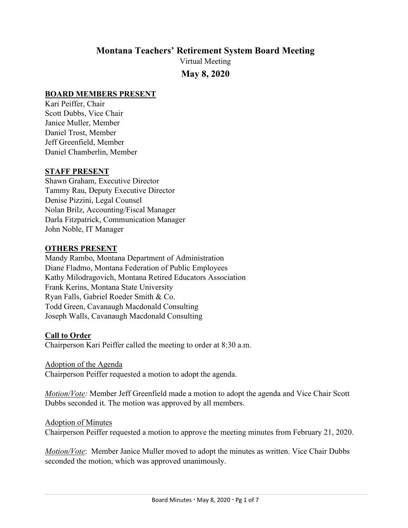# **Montana Teachers' Retirement System Board Meeting**

Virtual Meeting **May 8, 2020**

## **BOARD MEMBERS PRESENT**

Kari Peiffer, Chair Scott Dubbs, Vice Chair Janice Muller, Member Daniel Trost, Member Jeff Greenfield, Member Daniel Chamberlin, Member

### **STAFF PRESENT**

Shawn Graham, Executive Director Tammy Rau, Deputy Executive Director Denise Pizzini, Legal Counsel Nolan Brilz, Accounting/Fiscal Manager Darla Fitzpatrick, Communication Manager John Noble, IT Manager

### **OTHERS PRESENT**

Mandy Rambo, Montana Department of Administration Diane Fladmo, Montana Federation of Public Employees Kathy Milodragovich, Montana Retired Educators Association Frank Kerins, Montana State University Ryan Falls, Gabriel Roeder Smith & Co. Todd Green, Cavanaugh Macdonald Consulting Joseph Walls, Cavanaugh Macdonald Consulting

## **Call to Order**

Chairperson Kari Peiffer called the meeting to order at 8:30 a.m.

#### Adoption of the Agenda

Chairperson Peiffer requested a motion to adopt the agenda.

*Motion/Vote:* Member Jeff Greenfield made a motion to adopt the agenda and Vice Chair Scott Dubbs seconded it. The motion was approved by all members.

#### Adoption of Minutes

Chairperson Peiffer requested a motion to approve the meeting minutes from February 21, 2020.

*Motion/Vote*: Member Janice Muller moved to adopt the minutes as written. Vice Chair Dubbs seconded the motion, which was approved unanimously.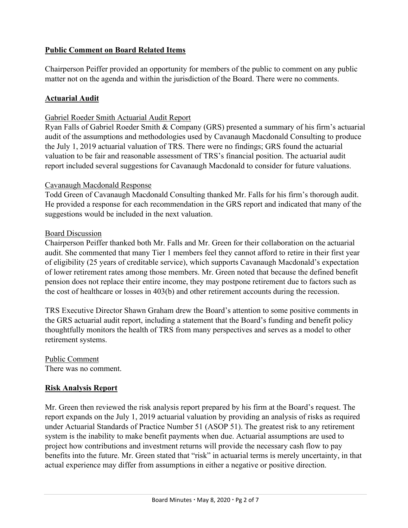# **Public Comment on Board Related Items**

Chairperson Peiffer provided an opportunity for members of the public to comment on any public matter not on the agenda and within the jurisdiction of the Board. There were no comments.

## **Actuarial Audit**

### Gabriel Roeder Smith Actuarial Audit Report

Ryan Falls of Gabriel Roeder Smith & Company (GRS) presented a summary of his firm's actuarial audit of the assumptions and methodologies used by Cavanaugh Macdonald Consulting to produce the July 1, 2019 actuarial valuation of TRS. There were no findings; GRS found the actuarial valuation to be fair and reasonable assessment of TRS's financial position. The actuarial audit report included several suggestions for Cavanaugh Macdonald to consider for future valuations.

### Cavanaugh Macdonald Response

Todd Green of Cavanaugh Macdonald Consulting thanked Mr. Falls for his firm's thorough audit. He provided a response for each recommendation in the GRS report and indicated that many of the suggestions would be included in the next valuation.

### Board Discussion

Chairperson Peiffer thanked both Mr. Falls and Mr. Green for their collaboration on the actuarial audit. She commented that many Tier 1 members feel they cannot afford to retire in their first year of eligibility (25 years of creditable service), which supports Cavanaugh Macdonald's expectation of lower retirement rates among those members. Mr. Green noted that because the defined benefit pension does not replace their entire income, they may postpone retirement due to factors such as the cost of healthcare or losses in 403(b) and other retirement accounts during the recession.

TRS Executive Director Shawn Graham drew the Board's attention to some positive comments in the GRS actuarial audit report, including a statement that the Board's funding and benefit policy thoughtfully monitors the health of TRS from many perspectives and serves as a model to other retirement systems.

Public Comment There was no comment.

## **Risk Analysis Report**

Mr. Green then reviewed the risk analysis report prepared by his firm at the Board's request. The report expands on the July 1, 2019 actuarial valuation by providing an analysis of risks as required under Actuarial Standards of Practice Number 51 (ASOP 51). The greatest risk to any retirement system is the inability to make benefit payments when due. Actuarial assumptions are used to project how contributions and investment returns will provide the necessary cash flow to pay benefits into the future. Mr. Green stated that "risk" in actuarial terms is merely uncertainty, in that actual experience may differ from assumptions in either a negative or positive direction.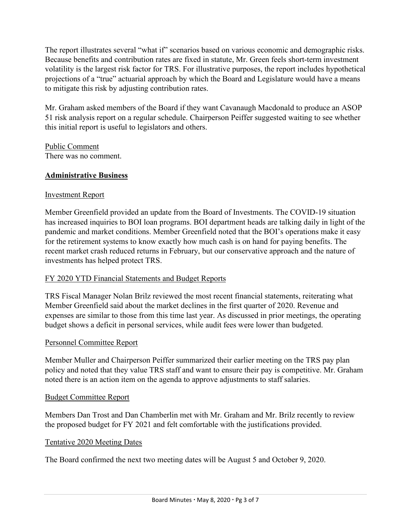The report illustrates several "what if" scenarios based on various economic and demographic risks. Because benefits and contribution rates are fixed in statute, Mr. Green feels short-term investment volatility is the largest risk factor for TRS. For illustrative purposes, the report includes hypothetical projections of a "true" actuarial approach by which the Board and Legislature would have a means to mitigate this risk by adjusting contribution rates.

Mr. Graham asked members of the Board if they want Cavanaugh Macdonald to produce an ASOP 51 risk analysis report on a regular schedule. Chairperson Peiffer suggested waiting to see whether this initial report is useful to legislators and others.

Public Comment There was no comment.

# **Administrative Business**

## Investment Report

Member Greenfield provided an update from the Board of Investments. The COVID-19 situation has increased inquiries to BOI loan programs. BOI department heads are talking daily in light of the pandemic and market conditions. Member Greenfield noted that the BOI's operations make it easy for the retirement systems to know exactly how much cash is on hand for paying benefits. The recent market crash reduced returns in February, but our conservative approach and the nature of investments has helped protect TRS.

# FY 2020 YTD Financial Statements and Budget Reports

TRS Fiscal Manager Nolan Brilz reviewed the most recent financial statements, reiterating what Member Greenfield said about the market declines in the first quarter of 2020. Revenue and expenses are similar to those from this time last year. As discussed in prior meetings, the operating budget shows a deficit in personal services, while audit fees were lower than budgeted.

## Personnel Committee Report

Member Muller and Chairperson Peiffer summarized their earlier meeting on the TRS pay plan policy and noted that they value TRS staff and want to ensure their pay is competitive. Mr. Graham noted there is an action item on the agenda to approve adjustments to staff salaries.

## Budget Committee Report

Members Dan Trost and Dan Chamberlin met with Mr. Graham and Mr. Brilz recently to review the proposed budget for FY 2021 and felt comfortable with the justifications provided.

## Tentative 2020 Meeting Dates

The Board confirmed the next two meeting dates will be August 5 and October 9, 2020.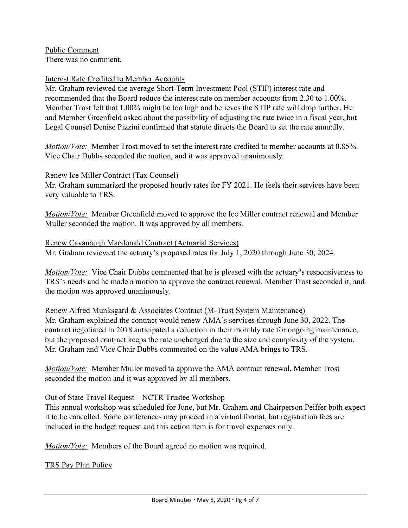Public Comment There was no comment.

### Interest Rate Credited to Member Accounts

Mr. Graham reviewed the average Short-Term Investment Pool (STIP) interest rate and recommended that the Board reduce the interest rate on member accounts from 2.30 to 1.00%. Member Trost felt that 1.00% might be too high and believes the STIP rate will drop further. He and Member Greenfield asked about the possibility of adjusting the rate twice in a fiscal year, but Legal Counsel Denise Pizzini confirmed that statute directs the Board to set the rate annually.

*Motion/Vote:* Member Trost moved to set the interest rate credited to member accounts at 0.85%. Vice Chair Dubbs seconded the motion, and it was approved unanimously.

#### Renew Ice Miller Contract (Tax Counsel)

Mr. Graham summarized the proposed hourly rates for FY 2021. He feels their services have been very valuable to TRS.

*Motion/Vote:* Member Greenfield moved to approve the Ice Miller contract renewal and Member Muller seconded the motion. It was approved by all members.

#### Renew Cavanaugh Macdonald Contract (Actuarial Services)

Mr. Graham reviewed the actuary's proposed rates for July 1, 2020 through June 30, 2024.

*Motion/Vote:* Vice Chair Dubbs commented that he is pleased with the actuary's responsiveness to TRS's needs and he made a motion to approve the contract renewal. Member Trost seconded it, and the motion was approved unanimously.

Renew Alfred Munksgard & Associates Contract (M-Trust System Maintenance)

Mr. Graham explained the contract would renew AMA's services through June 30, 2022. The contract negotiated in 2018 anticipated a reduction in their monthly rate for ongoing maintenance, but the proposed contract keeps the rate unchanged due to the size and complexity of the system. Mr. Graham and Vice Chair Dubbs commented on the value AMA brings to TRS.

*Motion/Vote:* Member Muller moved to approve the AMA contract renewal. Member Trost seconded the motion and it was approved by all members.

#### Out of State Travel Request – NCTR Trustee Workshop

This annual workshop was scheduled for June, but Mr. Graham and Chairperson Peiffer both expect it to be cancelled. Some conferences may proceed in a virtual format, but registration fees are included in the budget request and this action item is for travel expenses only.

*Motion/Vote:* Members of the Board agreed no motion was required.

TRS Pay Plan Policy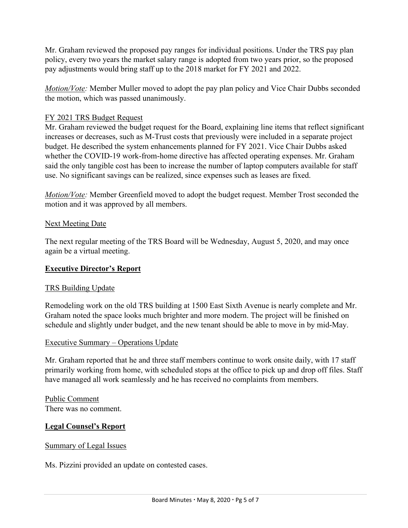Mr. Graham reviewed the proposed pay ranges for individual positions. Under the TRS pay plan policy, every two years the market salary range is adopted from two years prior, so the proposed pay adjustments would bring staff up to the 2018 market for FY 2021 and 2022.

*Motion/Vote:* Member Muller moved to adopt the pay plan policy and Vice Chair Dubbs seconded the motion, which was passed unanimously.

## FY 2021 TRS Budget Request

Mr. Graham reviewed the budget request for the Board, explaining line items that reflect significant increases or decreases, such as M-Trust costs that previously were included in a separate project budget. He described the system enhancements planned for FY 2021. Vice Chair Dubbs asked whether the COVID-19 work-from-home directive has affected operating expenses. Mr. Graham said the only tangible cost has been to increase the number of laptop computers available for staff use. No significant savings can be realized, since expenses such as leases are fixed.

*Motion/Vote:* Member Greenfield moved to adopt the budget request. Member Trost seconded the motion and it was approved by all members.

### **Next Meeting Date**

The next regular meeting of the TRS Board will be Wednesday, August 5, 2020, and may once again be a virtual meeting.

## **Executive Director's Report**

## TRS Building Update

Remodeling work on the old TRS building at 1500 East Sixth Avenue is nearly complete and Mr. Graham noted the space looks much brighter and more modern. The project will be finished on schedule and slightly under budget, and the new tenant should be able to move in by mid-May.

#### Executive Summary – Operations Update

Mr. Graham reported that he and three staff members continue to work onsite daily, with 17 staff primarily working from home, with scheduled stops at the office to pick up and drop off files. Staff have managed all work seamlessly and he has received no complaints from members.

Public Comment There was no comment.

## **Legal Counsel's Report**

#### Summary of Legal Issues

Ms. Pizzini provided an update on contested cases.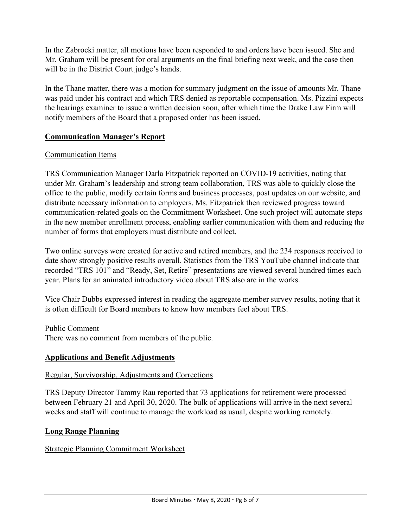In the Zabrocki matter, all motions have been responded to and orders have been issued. She and Mr. Graham will be present for oral arguments on the final briefing next week, and the case then will be in the District Court judge's hands.

In the Thane matter, there was a motion for summary judgment on the issue of amounts Mr. Thane was paid under his contract and which TRS denied as reportable compensation. Ms. Pizzini expects the hearings examiner to issue a written decision soon, after which time the Drake Law Firm will notify members of the Board that a proposed order has been issued.

## **Communication Manager's Report**

## Communication Items

TRS Communication Manager Darla Fitzpatrick reported on COVID-19 activities, noting that under Mr. Graham's leadership and strong team collaboration, TRS was able to quickly close the office to the public, modify certain forms and business processes, post updates on our website, and distribute necessary information to employers. Ms. Fitzpatrick then reviewed progress toward communication-related goals on the Commitment Worksheet. One such project will automate steps in the new member enrollment process, enabling earlier communication with them and reducing the number of forms that employers must distribute and collect.

Two online surveys were created for active and retired members, and the 234 responses received to date show strongly positive results overall. Statistics from the TRS YouTube channel indicate that recorded "TRS 101" and "Ready, Set, Retire" presentations are viewed several hundred times each year. Plans for an animated introductory video about TRS also are in the works.

Vice Chair Dubbs expressed interest in reading the aggregate member survey results, noting that it is often difficult for Board members to know how members feel about TRS.

Public Comment There was no comment from members of the public.

## **Applications and Benefit Adjustments**

## Regular, Survivorship, Adjustments and Corrections

TRS Deputy Director Tammy Rau reported that 73 applications for retirement were processed between February 21 and April 30, 2020. The bulk of applications will arrive in the next several weeks and staff will continue to manage the workload as usual, despite working remotely.

## **Long Range Planning**

## Strategic Planning Commitment Worksheet